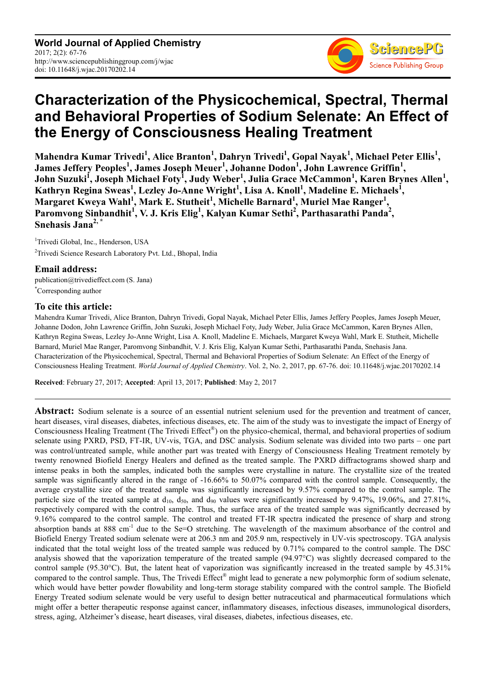

# **Characterization of the Physicochemical, Spectral, Thermal and Behavioral Properties of Sodium Selenate: An Effect of the Energy of Consciousness Healing Treatment**

**Mahendra Kumar Trivedi<sup>1</sup> , Alice Branton<sup>1</sup> , Dahryn Trivedi<sup>1</sup> , Gopal Nayak<sup>1</sup> , Michael Peter Ellis<sup>1</sup> , James Jeffery Peoples<sup>1</sup> , James Joseph Meuer<sup>1</sup> , Johanne Dodon<sup>1</sup> , John Lawrence Griffin<sup>1</sup> , John Suzuki<sup>1</sup> , Joseph Michael Foty<sup>1</sup> , Judy Weber<sup>1</sup> , Julia Grace McCammon<sup>1</sup> , Karen Brynes Allen<sup>1</sup> , Kathryn Regina Sweas<sup>1</sup> , Lezley Jo-Anne Wright<sup>1</sup> , Lisa A. Knoll<sup>1</sup> , Madeline E. Michaels<sup>1</sup> ,**   $M$ argaret Kweya Wahl<sup>1</sup>, Mark E. Stutheit<sup>1</sup>, Michelle Barnard<sup>1</sup>, Muriel Mae Ranger<sup>1</sup>, Paromvong Sinbandhit<sup>1</sup>, V. J. Kris Elig<sup>1</sup>, Kalyan Kumar Sethi<sup>2</sup>, Parthasarathi Panda<sup>2</sup>, **Snehasis Jana2, \*** 

<sup>1</sup>Trivedi Global, Inc., Henderson, USA <sup>2</sup>Trivedi Science Research Laboratory Pvt. Ltd., Bhopal, India

# **Email address:**

publication@trivedieffect.com (S. Jana) \*Corresponding author

# **To cite this article:**

Mahendra Kumar Trivedi, Alice Branton, Dahryn Trivedi, Gopal Nayak, Michael Peter Ellis, James Jeffery Peoples, James Joseph Meuer, Johanne Dodon, John Lawrence Griffin, John Suzuki, Joseph Michael Foty, Judy Weber, Julia Grace McCammon, Karen Brynes Allen, Kathryn Regina Sweas, Lezley Jo-Anne Wright, Lisa A. Knoll, Madeline E. Michaels, Margaret Kweya Wahl, Mark E. Stutheit, Michelle Barnard, Muriel Mae Ranger, Paromvong Sinbandhit, V. J. Kris Elig, Kalyan Kumar Sethi, Parthasarathi Panda, Snehasis Jana. Characterization of the Physicochemical, Spectral, Thermal and Behavioral Properties of Sodium Selenate: An Effect of the Energy of Consciousness Healing Treatment. *World Journal of Applied Chemistry*. Vol. 2, No. 2, 2017, pp. 67-76. doi: 10.11648/j.wjac.20170202.14

**Received**: February 27, 2017; **Accepted**: April 13, 2017; **Published**: May 2, 2017

**Abstract:** Sodium selenate is a source of an essential nutrient selenium used for the prevention and treatment of cancer, heart diseases, viral diseases, diabetes, infectious diseases, etc. The aim of the study was to investigate the impact of Energy of Consciousness Healing Treatment (The Trivedi Effect®) on the physico-chemical, thermal, and behavioral properties of sodium selenate using PXRD, PSD, FT-IR, UV-vis, TGA, and DSC analysis. Sodium selenate was divided into two parts – one part was control/untreated sample, while another part was treated with Energy of Consciousness Healing Treatment remotely by twenty renowned Biofield Energy Healers and defined as the treated sample. The PXRD diffractograms showed sharp and intense peaks in both the samples, indicated both the samples were crystalline in nature. The crystallite size of the treated sample was significantly altered in the range of -16.66% to 50.07% compared with the control sample. Consequently, the average crystallite size of the treated sample was significantly increased by 9.57% compared to the control sample. The particle size of the treated sample at  $d_{10}$ ,  $d_{50}$ , and  $d_{90}$  values were significantly increased by 9.47%, 19.06%, and 27.81%, respectively compared with the control sample. Thus, the surface area of the treated sample was significantly decreased by 9.16% compared to the control sample. The control and treated FT-IR spectra indicated the presence of sharp and strong absorption bands at 888 cm<sup>-1</sup> due to the Se=O stretching. The wavelength of the maximum absorbance of the control and Biofield Energy Treated sodium selenate were at 206.3 nm and 205.9 nm, respectively in UV-vis spectroscopy. TGA analysis indicated that the total weight loss of the treated sample was reduced by 0.71% compared to the control sample. The DSC analysis showed that the vaporization temperature of the treated sample (94.97°C) was slightly decreased compared to the control sample (95.30 $^{\circ}$ C). But, the latent heat of vaporization was significantly increased in the treated sample by 45.31% compared to the control sample. Thus, The Trivedi Effect® might lead to generate a new polymorphic form of sodium selenate, which would have better powder flowability and long-term storage stability compared with the control sample. The Biofield Energy Treated sodium selenate would be very useful to design better nutraceutical and pharmaceutical formulations which might offer a better therapeutic response against cancer, inflammatory diseases, infectious diseases, immunological disorders, stress, aging, Alzheimer's disease, heart diseases, viral diseases, diabetes, infectious diseases, etc.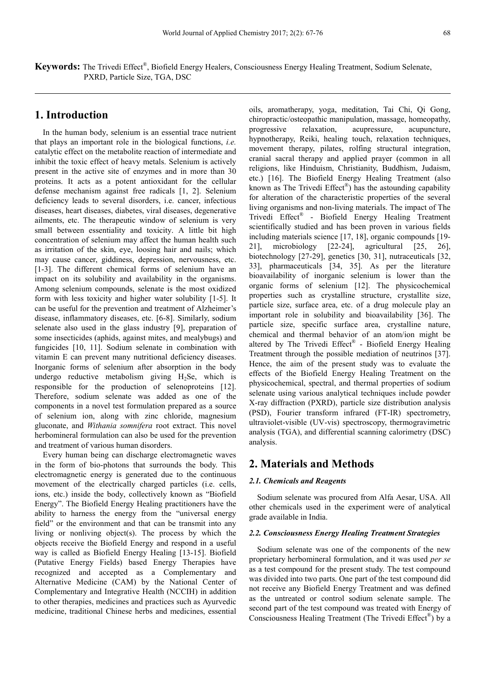**Keywords:** The Trivedi Effect® , Biofield Energy Healers, Consciousness Energy Healing Treatment, Sodium Selenate, PXRD, Particle Size, TGA, DSC

# **1. Introduction**

In the human body, selenium is an essential trace nutrient that plays an important role in the biological functions, *i.e.*  catalytic effect on the metabolite reaction of intermediate and inhibit the toxic effect of heavy metals. Selenium is actively present in the active site of enzymes and in more than 30 proteins. It acts as a potent antioxidant for the cellular defense mechanism against free radicals [1, 2]. Selenium deficiency leads to several disorders, i.e. cancer, infectious diseases, heart diseases, diabetes, viral diseases, degenerative ailments, etc. The therapeutic window of selenium is very small between essentiality and toxicity. A little bit high concentration of selenium may affect the human health such as irritation of the skin, eye, loosing hair and nails; which may cause cancer, giddiness, depression, nervousness, etc. [1-3]. The different chemical forms of selenium have an impact on its solubility and availability in the organisms. Among selenium compounds, selenate is the most oxidized form with less toxicity and higher water solubility [1-5]. It can be useful for the prevention and treatment of Alzheimer's disease, inflammatory diseases, etc. [6-8]. Similarly, sodium selenate also used in the glass industry [9], preparation of some insecticides (aphids, against mites, and mealybugs) and fungicides [10, 11]. Sodium selenate in combination with vitamin E can prevent many nutritional deficiency diseases. Inorganic forms of selenium after absorption in the body undergo reductive metabolism giving  $H_2$ Se, which is responsible for the production of selenoproteins [12]. Therefore, sodium selenate was added as one of the components in a novel test formulation prepared as a source of selenium ion, along with zinc chloride, magnesium gluconate, and *Withania somnifera* root extract. This novel herbomineral formulation can also be used for the prevention and treatment of various human disorders.

Every human being can discharge electromagnetic waves in the form of bio-photons that surrounds the body. This electromagnetic energy is generated due to the continuous movement of the electrically charged particles (i.e. cells, ions, etc.) inside the body, collectively known as "Biofield Energy". The Biofield Energy Healing practitioners have the ability to harness the energy from the "universal energy field" or the environment and that can be transmit into any living or nonliving object(s). The process by which the objects receive the Biofield Energy and respond in a useful way is called as Biofield Energy Healing [13-15]. Biofield (Putative Energy Fields) based Energy Therapies have recognized and accepted as a Complementary and Alternative Medicine (CAM) by the National Center of Complementary and Integrative Health (NCCIH) in addition to other therapies, medicines and practices such as Ayurvedic medicine, traditional Chinese herbs and medicines, essential

oils, aromatherapy, yoga, meditation, Tai Chi, Qi Gong, chiropractic/osteopathic manipulation, massage, homeopathy, progressive relaxation, acupressure, acupuncture, hypnotherapy, Reiki, healing touch, relaxation techniques, movement therapy, pilates, rolfing structural integration, cranial sacral therapy and applied prayer (common in all religions, like Hinduism, Christianity, Buddhism, Judaism, etc.) [16]. The Biofield Energy Healing Treatment (also known as The Trivedi  $Effect^{\circledast}$ ) has the astounding capability for alteration of the characteristic properties of the several living organisms and non-living materials. The impact of The Trivedi Effect® - Biofield Energy Healing Treatment scientifically studied and has been proven in various fields including materials science [17, 18], organic compounds [19- 21], microbiology [22-24], agricultural [25, 26], biotechnology [27-29], genetics [30, 31], nutraceuticals [32, 33], pharmaceuticals [34, 35]. As per the literature bioavailability of inorganic selenium is lower than the organic forms of selenium [12]. The physicochemical properties such as crystalline structure, crystallite size, particle size, surface area, etc. of a drug molecule play an important role in solubility and bioavailability [36]. The particle size, specific surface area, crystalline nature, chemical and thermal behavior of an atom/ion might be altered by The Trivedi Effect® - Biofield Energy Healing Treatment through the possible mediation of neutrinos [37]. Hence, the aim of the present study was to evaluate the effects of the Biofield Energy Healing Treatment on the physicochemical, spectral, and thermal properties of sodium selenate using various analytical techniques include powder X-ray diffraction (PXRD), particle size distribution analysis (PSD), Fourier transform infrared (FT-IR) spectrometry, ultraviolet-visible (UV-vis) spectroscopy, thermogravimetric analysis (TGA), and differential scanning calorimetry (DSC) analysis.

### **2. Materials and Methods**

#### *2.1. Chemicals and Reagents*

Sodium selenate was procured from Alfa Aesar, USA. All other chemicals used in the experiment were of analytical grade available in India.

### *2.2. Consciousness Energy Healing Treatment Strategies*

Sodium selenate was one of the components of the new proprietary herbomineral formulation, and it was used *per se* as a test compound for the present study. The test compound was divided into two parts. One part of the test compound did not receive any Biofield Energy Treatment and was defined as the untreated or control sodium selenate sample. The second part of the test compound was treated with Energy of Consciousness Healing Treatment (The Trivedi Effect®) by a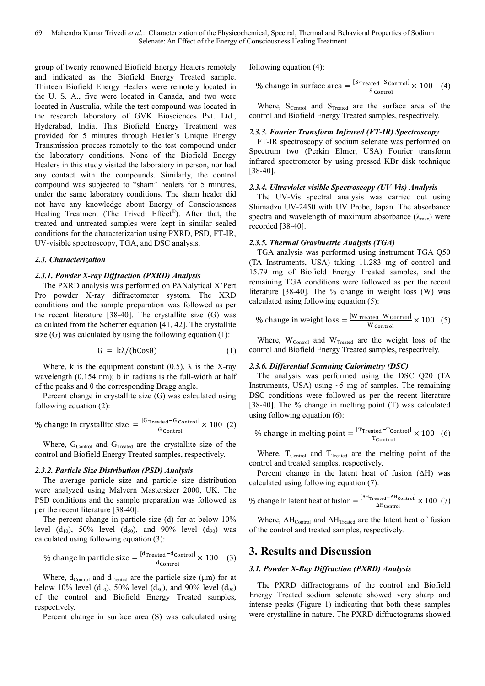69 Mahendra Kumar Trivedi *et al.*: Characterization of the Physicochemical, Spectral, Thermal and Behavioral Properties of Sodium Selenate: An Effect of the Energy of Consciousness Healing Treatment

group of twenty renowned Biofield Energy Healers remotely and indicated as the Biofield Energy Treated sample. Thirteen Biofield Energy Healers were remotely located in the U. S. A., five were located in Canada, and two were located in Australia, while the test compound was located in the research laboratory of GVK Biosciences Pvt. Ltd., Hyderabad, India. This Biofield Energy Treatment was provided for 5 minutes through Healer's Unique Energy Transmission process remotely to the test compound under the laboratory conditions. None of the Biofield Energy Healers in this study visited the laboratory in person, nor had any contact with the compounds. Similarly, the control compound was subjected to "sham" healers for 5 minutes, under the same laboratory conditions. The sham healer did not have any knowledge about Energy of Consciousness Healing Treatment (The Trivedi Effect®). After that, the treated and untreated samples were kept in similar sealed conditions for the characterization using PXRD, PSD, FT-IR, UV-visible spectroscopy, TGA, and DSC analysis.

#### *2.3. Characterization*

### *2.3.1. Powder X-ray Diffraction (PXRD) Analysis*

The PXRD analysis was performed on PANalytical X'Pert Pro powder X-ray diffractometer system. The XRD conditions and the sample preparation was followed as per the recent literature [38-40]. The crystallite size (G) was calculated from the Scherrer equation [41, 42]. The crystallite size (G) was calculated by using the following equation (1):

$$
G = k\lambda/(bCos\theta) \tag{1}
$$

Where, k is the equipment constant  $(0.5)$ ,  $\lambda$  is the X-ray wavelength  $(0.154 \text{ nm})$ ; b in radians is the full-width at half of the peaks and  $\theta$  the corresponding Bragg angle.

Percent change in crystallite size (G) was calculated using following equation (2):

% change in crystallite size 
$$
=\frac{[G \text{ Treated} - G \text{ Control}]}{G \text{ Control}} \times 100
$$
 (2)

Where,  $G_{\text{Control}}$  and  $G_{\text{Treated}}$  are the crystallite size of the control and Biofield Energy Treated samples, respectively.

### *2.3.2. Particle Size Distribution (PSD) Analysis*

The average particle size and particle size distribution were analyzed using Malvern Mastersizer 2000, UK. The PSD conditions and the sample preparation was followed as per the recent literature [38-40].

The percent change in particle size (d) for at below 10% level (d<sub>10</sub>), 50% level (d<sub>50</sub>), and 90% level (d<sub>90</sub>) was calculated using following equation (3):

% change in particle size = 
$$
\frac{\text{[dTreated – dControl]}{\text{d}_{\text{Control}}}} \times 100
$$
 (3)

Where,  $d_{Control}$  and  $d_{Treated}$  are the particle size ( $\mu$ m) for at below 10% level (d<sub>10</sub>), 50% level (d<sub>50</sub>), and 90% level (d<sub>90</sub>) of the control and Biofield Energy Treated samples, respectively.

Percent change in surface area (S) was calculated using

following equation (4):

% change in surface area = 
$$
\frac{\text{[S \text{Treated}^{-S} Control]}}{\text{S control}} \times 100 \quad (4)
$$

Where,  $S_{Control}$  and  $S_{Treated}$  are the surface area of the control and Biofield Energy Treated samples, respectively.

#### *2.3.3. Fourier Transform Infrared (FT-IR) Spectroscopy*

FT-IR spectroscopy of sodium selenate was performed on Spectrum two (Perkin Elmer, USA) Fourier transform infrared spectrometer by using pressed KBr disk technique [38-40].

#### *2.3.4. Ultraviolet-visible Spectroscopy (UV-Vis) Analysis*

The UV-Vis spectral analysis was carried out using Shimadzu UV-2450 with UV Probe, Japan. The absorbance spectra and wavelength of maximum absorbance  $(\lambda_{\text{max}})$  were recorded [38-40].

#### *2.3.5. Thermal Gravimetric Analysis (TGA)*

TGA analysis was performed using instrument TGA Q50 (TA Instruments, USA) taking 11.283 mg of control and 15.79 mg of Biofield Energy Treated samples, and the remaining TGA conditions were followed as per the recent literature [38-40]. The % change in weight loss (W) was calculated using following equation (5):

% change in weight loss = 
$$
\frac{[W_{\text{Treated}} - W_{\text{Control}}]}{W_{\text{Control}}} \times 100
$$
 (5)

Where,  $W_{Control}$  and  $W_{Treated}$  are the weight loss of the control and Biofield Energy Treated samples, respectively.

#### *2.3.6. Differential Scanning Calorimetry (DSC)*

The analysis was performed using the DSC Q20 (TA Instruments, USA) using  $\sim$ 5 mg of samples. The remaining DSC conditions were followed as per the recent literature [38-40]. The % change in melting point (T) was calculated using following equation (6):

% change in melting point = 
$$
\frac{[\text{Trreated} - \text{Tcontrol}]}{\text{T}_{\text{Control}}} \times 100 \quad (6)
$$

Where,  $T_{Control}$  and  $T_{Treated}$  are the melting point of the control and treated samples, respectively.

Percent change in the latent heat of fusion (∆H) was calculated using following equation (7):

% change in latent heat of fusion = 
$$
\frac{[ \Delta H_{\text{Treated}} - \Delta H_{\text{Control}}]}{\Delta H_{\text{Control}}}
$$
 × 100 (7)

Where, ∆H<sub>Control</sub> and ∆H<sub>Treated</sub> are the latent heat of fusion of the control and treated samples, respectively.

# **3. Results and Discussion**

### *3.1. Powder X-Ray Diffraction (PXRD) Analysis*

The PXRD diffractograms of the control and Biofield Energy Treated sodium selenate showed very sharp and intense peaks (Figure 1) indicating that both these samples were crystalline in nature. The PXRD diffractograms showed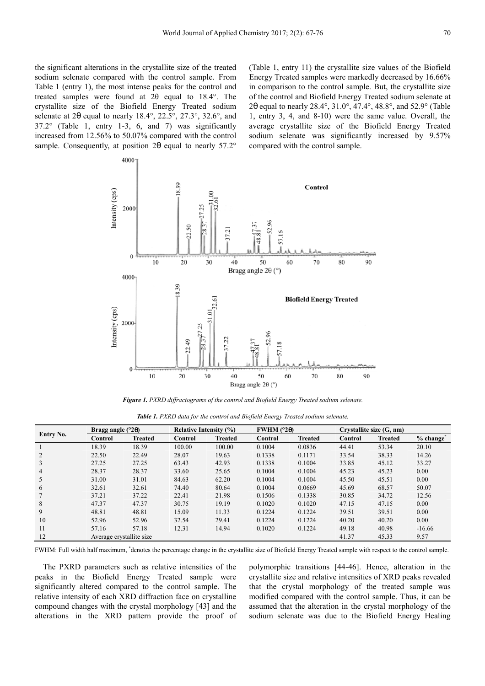the significant alterations in the crystallite size of the treated sodium selenate compared with the control sample. From Table 1 (entry 1), the most intense peaks for the control and treated samples were found at 2θ equal to 18.4°. The crystallite size of the Biofield Energy Treated sodium selenate at 2θ equal to nearly 18.4°, 22.5°, 27.3°, 32.6°, and 37.2° (Table 1, entry 1-3, 6, and 7) was significantly increased from 12.56% to 50.07% compared with the control sample. Consequently, at position 2θ equal to nearly 57.2° (Table 1, entry 11) the crystallite size values of the Biofield Energy Treated samples were markedly decreased by 16.66% in comparison to the control sample. But, the crystallite size of the control and Biofield Energy Treated sodium selenate at 2θ equal to nearly 28.4°, 31.0°, 47.4°, 48.8°, and 52.9° (Table 1, entry 3, 4, and 8-10) were the same value. Overall, the average crystallite size of the Biofield Energy Treated sodium selenate was significantly increased by 9.57% compared with the control sample.



*Figure 1. PXRD diffractograms of the control and Biofield Energy Treated sodium selenate.* 

|  |  |  |  |  |  | Table 1. PXRD data for the control and Biofield Energy Treated sodium selenate. |
|--|--|--|--|--|--|---------------------------------------------------------------------------------|
|--|--|--|--|--|--|---------------------------------------------------------------------------------|

|           | Bragg angle $(^{\circ}2\theta)$ |                | <b>Relative Intensity (%)</b> |                | FWHM $(°2\theta)$ |                | Crystallite size (G, nm) |                |                                     |
|-----------|---------------------------------|----------------|-------------------------------|----------------|-------------------|----------------|--------------------------|----------------|-------------------------------------|
| Entry No. | Control                         | <b>Treated</b> | Control                       | <b>Treated</b> | Control           | <b>Treated</b> | <b>Control</b>           | <b>Treated</b> | $%$ change $\overline{\phantom{a}}$ |
|           | 18.39                           | 18.39          | 100.00                        | 100.00         | 0.1004            | 0.0836         | 44.41                    | 53.34          | 20.10                               |
|           | 22.50                           | 22.49          | 28.07                         | 19.63          | 0.1338            | 0.1171         | 33.54                    | 38.33          | 14.26                               |
|           | 27.25                           | 27.25          | 63.43                         | 42.93          | 0.1338            | 0.1004         | 33.85                    | 45.12          | 33.27                               |
| 4         | 28.37                           | 28.37          | 33.60                         | 25.65          | 0.1004            | 0.1004         | 45.23                    | 45.23          | 0.00                                |
|           | 31.00                           | 31.01          | 84.63                         | 62.20          | 0.1004            | 0.1004         | 45.50                    | 45.51          | 0.00                                |
| 6         | 32.61                           | 32.61          | 74.40                         | 80.64          | 0.1004            | 0.0669         | 45.69                    | 68.57          | 50.07                               |
|           | 37.21                           | 37.22          | 22.41                         | 21.98          | 0.1506            | 0.1338         | 30.85                    | 34.72          | 12.56                               |
| 8         | 47.37                           | 47.37          | 30.75                         | 19.19          | 0.1020            | 0.1020         | 47.15                    | 47.15          | 0.00                                |
| 9         | 48.81                           | 48.81          | 15.09                         | 11.33          | 0.1224            | 0.1224         | 39.51                    | 39.51          | 0.00                                |
| 10        | 52.96                           | 52.96          | 32.54                         | 29.41          | 0.1224            | 0.1224         | 40.20                    | 40.20          | 0.00                                |
| 11        | 57.16                           | 57.18          | 12.31                         | 14.94          | 0.1020            | 0.1224         | 49.18                    | 40.98          | $-16.66$                            |
| 12        | Average crystallite size        |                |                               |                |                   |                | 41.37                    | 45.33          | 9.57                                |

FWHM: Full width half maximum, \*denotes the percentage change in the crystallite size of Biofield Energy Treated sample with respect to the control sample.

The PXRD parameters such as relative intensities of the peaks in the Biofield Energy Treated sample were significantly altered compared to the control sample. The relative intensity of each XRD diffraction face on crystalline compound changes with the crystal morphology [43] and the alterations in the XRD pattern provide the proof of polymorphic transitions [44-46]. Hence, alteration in the crystallite size and relative intensities of XRD peaks revealed that the crystal morphology of the treated sample was modified compared with the control sample. Thus, it can be assumed that the alteration in the crystal morphology of the sodium selenate was due to the Biofield Energy Healing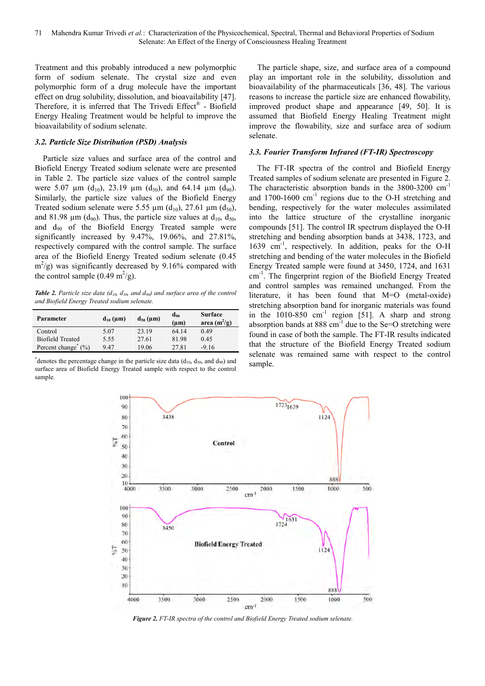Treatment and this probably introduced a new polymorphic form of sodium selenate. The crystal size and even polymorphic form of a drug molecule have the important effect on drug solubility, dissolution, and bioavailability [47]. Therefore, it is inferred that The Trivedi Effect® - Biofield Energy Healing Treatment would be helpful to improve the bioavailability of sodium selenate.

### *3.2. Particle Size Distribution (PSD) Analysis*

Particle size values and surface area of the control and Biofield Energy Treated sodium selenate were are presented in Table 2. The particle size values of the control sample were 5.07  $\mu$ m (d<sub>10</sub>), 23.19  $\mu$ m (d<sub>50</sub>), and 64.14  $\mu$ m (d<sub>90</sub>). Similarly, the particle size values of the Biofield Energy Treated sodium selenate were 5.55  $\mu$ m (d<sub>10</sub>), 27.61  $\mu$ m (d<sub>50</sub>), and 81.98  $\mu$ m (d<sub>90</sub>). Thus, the particle size values at d<sub>10</sub>, d<sub>50</sub>, and  $d_{90}$  of the Biofield Energy Treated sample were significantly increased by 9.47%, 19.06%, and 27.81%, respectively compared with the control sample. The surface area of the Biofield Energy Treated sodium selenate (0.45  $m^2$ /g) was significantly decreased by 9.16% compared with the control sample  $(0.49 \text{ m}^2/\text{g})$ .

*Table 2. Particle size data (d10, d50, and d90) and surface area of the control and Biofield Energy Treated sodium selenate.* 

| Parameter                          | $d_{10}$ (µm) | $d_{50}$ (µm) | $d_{90}$<br>$(\mu m)$ | <b>Surface</b><br>area $(m^2/g)$ |
|------------------------------------|---------------|---------------|-----------------------|----------------------------------|
| Control                            | 5.07          | 23.19         | 64.14                 | 0.49                             |
| <b>Biofield Treated</b>            | 5.55          | 27.61         | 81.98                 | 0.45                             |
| Percent change <sup>*</sup><br>(%) | 947           | 19.06         | 27.81                 | $-9.16$                          |

\*denotes the percentage change in the particle size data  $(d_{10}, d_{50},$  and  $d_{90})$  and surface area of Biofield Energy Treated sample with respect to the control sample.

The particle shape, size, and surface area of a compound play an important role in the solubility, dissolution and bioavailability of the pharmaceuticals [36, 48]. The various reasons to increase the particle size are enhanced flowability, improved product shape and appearance [49, 50]. It is assumed that Biofield Energy Healing Treatment might improve the flowability, size and surface area of sodium selenate.

### *3.3. Fourier Transform Infrared (FT-IR) Spectroscopy*

The FT-IR spectra of the control and Biofield Energy Treated samples of sodium selenate are presented in Figure 2. The characteristic absorption bands in the 3800-3200 cm<sup>-1</sup> and  $1700-1600$  cm<sup>-1</sup> regions due to the O-H stretching and bending, respectively for the water molecules assimilated into the lattice structure of the crystalline inorganic compounds [51]. The control IR spectrum displayed the O-H stretching and bending absorption bands at 3438, 1723, and 1639 cm-1, respectively. In addition, peaks for the O-H stretching and bending of the water molecules in the Biofield Energy Treated sample were found at 3450, 1724, and 1631 cm-1. The fingerprint region of the Biofield Energy Treated and control samples was remained unchanged. From the literature, it has been found that M=O (metal-oxide) stretching absorption band for inorganic materials was found in the  $1010-850$  cm<sup>-1</sup> region [51]. A sharp and strong absorption bands at  $888 \text{ cm}^{-1}$  due to the Se=O stretching were found in case of both the sample. The FT-IR results indicated that the structure of the Biofield Energy Treated sodium selenate was remained same with respect to the control sample.



*Figure 2. FT-IR spectra of the control and Biofield Energy Treated sodium selenate.*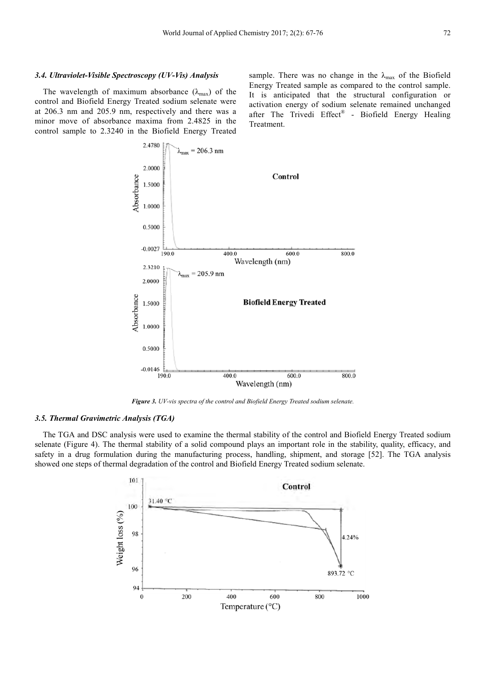The wavelength of maximum absorbance  $(\lambda_{\text{max}})$  of the control and Biofield Energy Treated sodium selenate were at 206.3 nm and 205.9 nm, respectively and there was a minor move of absorbance maxima from 2.4825 in the control sample to 2.3240 in the Biofield Energy Treated sample. There was no change in the  $\lambda_{\text{max}}$  of the Biofield Energy Treated sample as compared to the control sample. It is anticipated that the structural configuration or activation energy of sodium selenate remained unchanged after The Trivedi Effect<sup>®</sup> - Biofield Energy Healing Treatment.



*Figure 3. UV-vis spectra of the control and Biofield Energy Treated sodium selenate.* 

#### *3.5. Thermal Gravimetric Analysis (TGA)*

The TGA and DSC analysis were used to examine the thermal stability of the control and Biofield Energy Treated sodium selenate (Figure 4). The thermal stability of a solid compound plays an important role in the stability, quality, efficacy, and safety in a drug formulation during the manufacturing process, handling, shipment, and storage [52]. The TGA analysis showed one steps of thermal degradation of the control and Biofield Energy Treated sodium selenate.

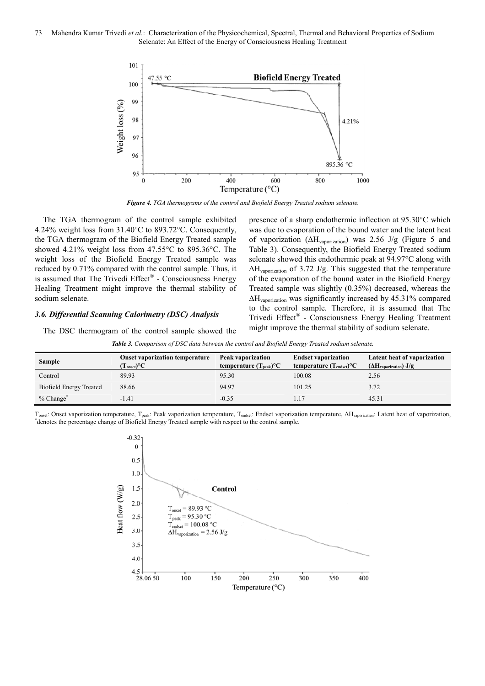

*Figure 4. TGA thermograms of the control and Biofield Energy Treated sodium selenate.* 

The TGA thermogram of the control sample exhibited 4.24% weight loss from 31.40°C to 893.72°C. Consequently, the TGA thermogram of the Biofield Energy Treated sample showed 4.21% weight loss from 47.55°C to 895.36°C. The weight loss of the Biofield Energy Treated sample was reduced by 0.71% compared with the control sample. Thus, it is assumed that The Trivedi Effect® - Consciousness Energy Healing Treatment might improve the thermal stability of sodium selenate.

### *3.6. Differential Scanning Calorimetry (DSC) Analysis*

The DSC thermogram of the control sample showed the

presence of a sharp endothermic inflection at 95.30°C which was due to evaporation of the bound water and the latent heat of vaporization (∆Hvaporization) was 2.56 J/g (Figure 5 and Table 3). Consequently, the Biofield Energy Treated sodium selenate showed this endothermic peak at 94.97°C along with  $\Delta H_{\text{vaporization}}$  of 3.72 J/g. This suggested that the temperature of the evaporation of the bound water in the Biofield Energy Treated sample was slightly (0.35%) decreased, whereas the ∆Hvaporization was significantly increased by 45.31% compared to the control sample. Therefore, it is assumed that The Trivedi Effect® - Consciousness Energy Healing Treatment might improve the thermal stability of sodium selenate.

*Table 3. Comparison of DSC data between the control and Biofield Energy Treated sodium selenate.*

| <b>Sample</b>                  | <b>Onset vaporization temperature</b><br>$(\mathbf{T}_{onset})^{\circ}\mathbf{C}$ | Peak vaporization<br>temperature $(T_{peak})^{\circ}C$ | <b>Endset vaporization</b><br>temperature $(T_{\text{endset}})^{\circ}C$ | Latent heat of vaporization<br>$(\Delta H_{\text{vaporization}})$ J/g |
|--------------------------------|-----------------------------------------------------------------------------------|--------------------------------------------------------|--------------------------------------------------------------------------|-----------------------------------------------------------------------|
| Control                        | 89.93                                                                             | 95.30                                                  | 100.08                                                                   | 2.56                                                                  |
| <b>Biofield Energy Treated</b> | 88.66                                                                             | 94.97                                                  | 101.25                                                                   | 3.72                                                                  |
| $%$ Change $*$                 | $-1.41$                                                                           | $-0.35$                                                |                                                                          | 45.31                                                                 |

Tonset: Onset vaporization temperature, Tpeak: Peak vaporization temperature, Tendset: Endset vaporization temperature, ∆Hvaporization: Latent heat of vaporization, \* denotes the percentage change of Biofield Energy Treated sample with respect to the control sample.

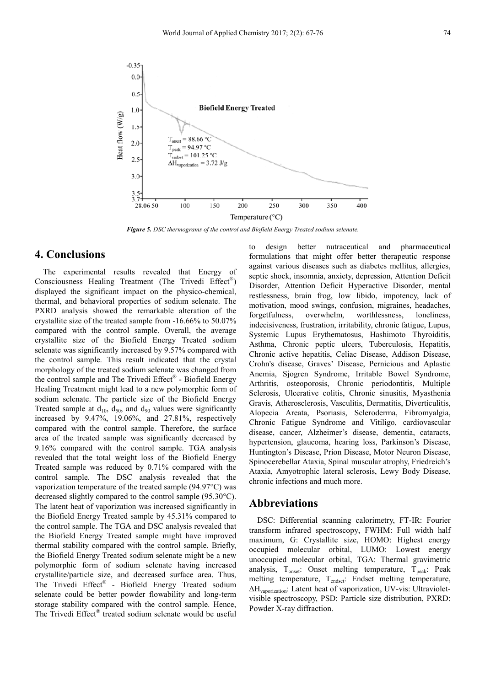

*Figure 5. DSC thermograms of the control and Biofield Energy Treated sodium selenate.* 

# **4. Conclusions**

The experimental results revealed that Energy of Consciousness Healing Treatment (The Trivedi Effect®) displayed the significant impact on the physico-chemical, thermal, and behavioral properties of sodium selenate. The PXRD analysis showed the remarkable alteration of the crystallite size of the treated sample from -16.66% to 50.07% compared with the control sample. Overall, the average crystallite size of the Biofield Energy Treated sodium selenate was significantly increased by 9.57% compared with the control sample. This result indicated that the crystal morphology of the treated sodium selenate was changed from the control sample and The Trivedi Effect® - Biofield Energy Healing Treatment might lead to a new polymorphic form of sodium selenate. The particle size of the Biofield Energy Treated sample at  $d_{10}$ ,  $d_{50}$ , and  $d_{90}$  values were significantly increased by 9.47%, 19.06%, and 27.81%, respectively compared with the control sample. Therefore, the surface area of the treated sample was significantly decreased by 9.16% compared with the control sample. TGA analysis revealed that the total weight loss of the Biofield Energy Treated sample was reduced by 0.71% compared with the control sample. The DSC analysis revealed that the vaporization temperature of the treated sample (94.97°C) was decreased slightly compared to the control sample (95.30°C). The latent heat of vaporization was increased significantly in the Biofield Energy Treated sample by 45.31% compared to the control sample. The TGA and DSC analysis revealed that the Biofield Energy Treated sample might have improved thermal stability compared with the control sample. Briefly, the Biofield Energy Treated sodium selenate might be a new polymorphic form of sodium selenate having increased crystallite/particle size, and decreased surface area. Thus, The Trivedi Effect® - Biofield Energy Treated sodium selenate could be better powder flowability and long-term storage stability compared with the control sample. Hence, The Trivedi Effect<sup>®</sup> treated sodium selenate would be useful to design better nutraceutical and pharmaceutical formulations that might offer better therapeutic response against various diseases such as diabetes mellitus, allergies, septic shock, insomnia, anxiety, depression, Attention Deficit Disorder, Attention Deficit Hyperactive Disorder, mental restlessness, brain frog, low libido, impotency, lack of motivation, mood swings, confusion, migraines, headaches, forgetfulness, overwhelm, worthlessness, loneliness, indecisiveness, frustration, irritability, chronic fatigue, Lupus, Systemic Lupus Erythematosus, Hashimoto Thyroiditis, Asthma, Chronic peptic ulcers, Tuberculosis, Hepatitis, Chronic active hepatitis, Celiac Disease, Addison Disease, Crohn's disease, Graves' Disease, Pernicious and Aplastic Anemia, Sjogren Syndrome, Irritable Bowel Syndrome, Arthritis, osteoporosis, Chronic periodontitis, Multiple Sclerosis, Ulcerative colitis, Chronic sinusitis, Myasthenia Gravis, Atherosclerosis, Vasculitis, Dermatitis, Diverticulitis, Alopecia Areata, Psoriasis, Scleroderma, Fibromyalgia, Chronic Fatigue Syndrome and Vitiligo, cardiovascular disease, cancer, Alzheimer's disease, dementia, cataracts, hypertension, glaucoma, hearing loss, Parkinson's Disease, Huntington's Disease, Prion Disease, Motor Neuron Disease, Spinocerebellar Ataxia, Spinal muscular atrophy, Friedreich's Ataxia, Amyotrophic lateral sclerosis, Lewy Body Disease, chronic infections and much more.

# **Abbreviations**

DSC: Differential scanning calorimetry, FT-IR: Fourier transform infrared spectroscopy, FWHM: Full width half maximum, G: Crystallite size, HOMO: Highest energy occupied molecular orbital, LUMO: Lowest energy unoccupied molecular orbital, TGA: Thermal gravimetric analysis,  $T_{onset}$ : Onset melting temperature,  $T_{peak}$ : Peak melting temperature, T<sub>endset</sub>: Endset melting temperature, ∆Hvaporization: Latent heat of vaporization, UV-vis: Ultravioletvisible spectroscopy, PSD: Particle size distribution, PXRD: Powder X-ray diffraction.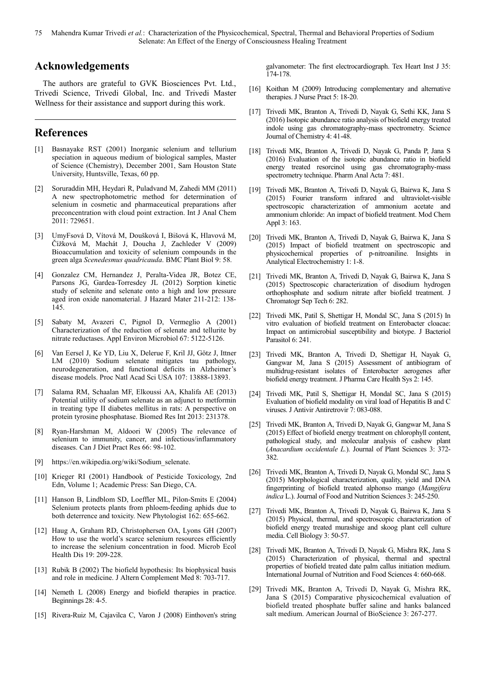### **Acknowledgements**

The authors are grateful to GVK Biosciences Pvt. Ltd., Trivedi Science, Trivedi Global, Inc. and Trivedi Master Wellness for their assistance and support during this work.

# **References**

- [1] Basnayake RST (2001) Inorganic selenium and tellurium speciation in aqueous medium of biological samples, Master of Science (Chemistry), December 2001, Sam Houston State University, Huntsville, Texas, 60 pp.
- [2] Soruraddin MH, Heydari R, Puladvand M, Zahedi MM (2011) A new spectrophotometric method for determination of selenium in cosmetic and pharmaceutical preparations after preconcentration with cloud point extraction. Int J Anal Chem 2011: 729651.
- [3] UmyFsová D, Vítová M, Doušková I, Bišová K, Hlavová M, Čížková M, Machát J, Doucha J, Zachleder V (2009) Bioaccumulation and toxicity of selenium compounds in the green alga *Scenedesmus quadricauda*. BMC Plant Biol 9: 58.
- [4] Gonzalez CM, Hernandez J, Peralta-Videa JR, Botez CE, Parsons JG, Gardea-Torresdey JL (2012) Sorption kinetic study of selenite and selenate onto a high and low pressure aged iron oxide nanomaterial. J Hazard Mater 211-212: 138- 145.
- [5] Sabaty M, Avazeri C, Pignol D, Vermeglio A (2001) Characterization of the reduction of selenate and tellurite by nitrate reductases. Appl Environ Microbiol 67: 5122-5126.
- [6] Van Eersel J, Ke YD, Liu X, Delerue F, Kril JJ, Götz J, Ittner LM (2010) Sodium selenate mitigates tau pathology, neurodegeneration, and functional deficits in Alzheimer's disease models. Proc Natl Acad Sci USA 107: 13888-13893.
- [7] Salama RM, Schaalan MF, Elkoussi AA, Khalifa AE (2013) Potential utility of sodium selenate as an adjunct to metformin in treating type II diabetes mellitus in rats: A perspective on protein tyrosine phosphatase. Biomed Res Int 2013: 231378.
- [8] Ryan-Harshman M, Aldoori W (2005) The relevance of selenium to immunity, cancer, and infectious/inflammatory diseases. Can J Diet Pract Res 66: 98-102.
- [9] https://en.wikipedia.org/wiki/Sodium\_selenate.
- [10] Krieger RI (2001) Handbook of Pesticide Toxicology, 2nd Edn, Volume 1; Academic Press: San Diego, CA.
- [11] Hanson B, Lindblom SD, Loeffler ML, Pilon-Smits E (2004) Selenium protects plants from phloem-feeding aphids due to both deterrence and toxicity. New Phytologist 162: 655-662.
- [12] Haug A, Graham RD, Christophersen OA, Lyons GH (2007) How to use the world's scarce selenium resources efficiently to increase the selenium concentration in food. Microb Ecol Health Dis 19: 209-228.
- [13] Rubik B (2002) The biofield hypothesis: Its biophysical basis and role in medicine. J Altern Complement Med 8: 703-717.
- [14] Nemeth L (2008) Energy and biofield therapies in practice. Beginnings 28: 4-5.
- [15] Rivera-Ruiz M, Cajavilca C, Varon J (2008) Einthoven's string

galvanometer: The first electrocardiograph. Tex Heart Inst J 35: 174-178.

- [16] Koithan M (2009) Introducing complementary and alternative therapies. J Nurse Pract 5: 18-20.
- [17] Trivedi MK, Branton A, Trivedi D, Nayak G, Sethi KK, Jana S (2016) Isotopic abundance ratio analysis of biofield energy treated indole using gas chromatography-mass spectrometry. Science Journal of Chemistry 4: 41-48.
- [18] Trivedi MK, Branton A, Trivedi D, Nayak G, Panda P, Jana S (2016) Evaluation of the isotopic abundance ratio in biofield energy treated resorcinol using gas chromatography-mass spectrometry technique. Pharm Anal Acta 7: 481.
- [19] Trivedi MK, Branton A, Trivedi D, Nayak G, Bairwa K, Jana S (2015) Fourier transform infrared and ultraviolet-visible spectroscopic characterization of ammonium acetate and ammonium chloride: An impact of biofield treatment. Mod Chem Appl 3: 163.
- [20] Trivedi MK, Branton A, Trivedi D, Nayak G, Bairwa K, Jana S (2015) Impact of biofield treatment on spectroscopic and physicochemical properties of p-nitroaniline. Insights in Analytical Electrochemistry 1: 1-8.
- [21] Trivedi MK, Branton A, Trivedi D, Nayak G, Bairwa K, Jana S (2015) Spectroscopic characterization of disodium hydrogen orthophosphate and sodium nitrate after biofield treatment. J Chromatogr Sep Tech 6: 282.
- [22] Trivedi MK, Patil S, Shettigar H, Mondal SC, Jana S (2015) In vitro evaluation of biofield treatment on Enterobacter cloacae: Impact on antimicrobial susceptibility and biotype. J Bacteriol Parasitol 6: 241.
- [23] Trivedi MK, Branton A, Trivedi D, Shettigar H, Nayak G, Gangwar M, Jana S (2015) Assessment of antibiogram of multidrug-resistant isolates of Enterobacter aerogenes after biofield energy treatment. J Pharma Care Health Sys 2: 145.
- [24] Trivedi MK, Patil S, Shettigar H, Mondal SC, Jana S (2015) Evaluation of biofield modality on viral load of Hepatitis B and C viruses. J Antivir Antiretrovir 7: 083-088.
- [25] Trivedi MK, Branton A, Trivedi D, Nayak G, Gangwar M, Jana S (2015) Effect of biofield energy treatment on chlorophyll content, pathological study, and molecular analysis of cashew plant (*Anacardium occidentale L.*). Journal of Plant Sciences 3: 372- 382.
- [26] Trivedi MK, Branton A, Trivedi D, Nayak G, Mondal SC, Jana S (2015) Morphological characterization, quality, yield and DNA fingerprinting of biofield treated alphonso mango (*Mangifera indica* L.). Journal of Food and Nutrition Sciences 3: 245-250.
- [27] Trivedi MK, Branton A, Trivedi D, Nayak G, Bairwa K, Jana S (2015) Physical, thermal, and spectroscopic characterization of biofield energy treated murashige and skoog plant cell culture media. Cell Biology 3: 50-57.
- [28] Trivedi MK, Branton A, Trivedi D, Nayak G, Mishra RK, Jana S (2015) Characterization of physical, thermal and spectral properties of biofield treated date palm callus initiation medium. International Journal of Nutrition and Food Sciences 4: 660-668.
- [29] Trivedi MK, Branton A, Trivedi D, Nayak G, Mishra RK, Jana S (2015) Comparative physicochemical evaluation of biofield treated phosphate buffer saline and hanks balanced salt medium. American Journal of BioScience 3: 267-277.